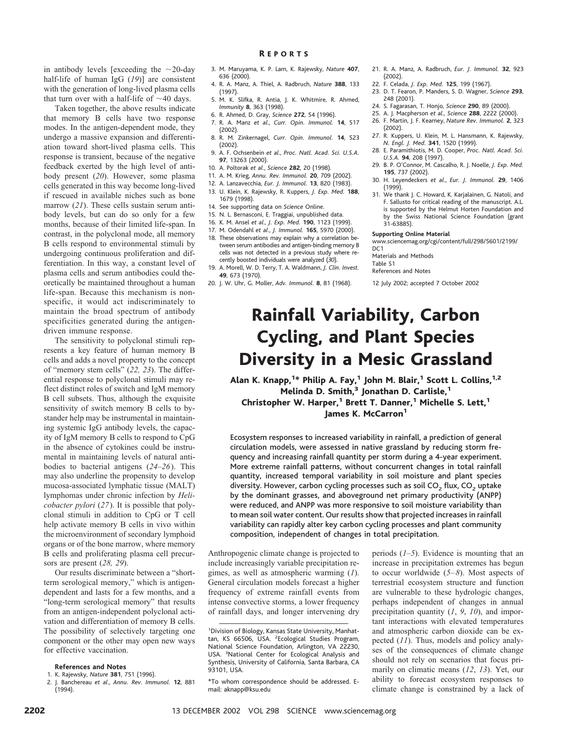in antibody levels [exceeding the  $\sim$ 20-day half-life of human IgG (*19*)] are consistent with the generation of long-lived plasma cells that turn over with a half-life of  $\sim$ 40 days.

Taken together, the above results indicate that memory B cells have two response modes. In the antigen-dependent mode, they undergo a massive expansion and differentiation toward short-lived plasma cells. This response is transient, because of the negative feedback exerted by the high level of antibody present (*20*). However, some plasma cells generated in this way become long-lived if rescued in available niches such as bone marrow (*21*). These cells sustain serum antibody levels, but can do so only for a few months, because of their limited life-span. In contrast, in the polyclonal mode, all memory B cells respond to environmental stimuli by undergoing continuous proliferation and differentiation. In this way, a constant level of plasma cells and serum antibodies could theoretically be maintained throughout a human life-span. Because this mechanism is nonspecific, it would act indiscriminately to maintain the broad spectrum of antibody specificities generated during the antigendriven immune response.

The sensitivity to polyclonal stimuli represents a key feature of human memory B cells and adds a novel property to the concept of "memory stem cells" (*22, 23*). The differential response to polyclonal stimuli may reflect distinct roles of switch and IgM memory B cell subsets. Thus, although the exquisite sensitivity of switch memory B cells to bystander help may be instrumental in maintaining systemic IgG antibody levels, the capacity of IgM memory B cells to respond to CpG in the absence of cytokines could be instrumental in maintaining levels of natural antibodies to bacterial antigens (*24*–*26*). This may also underline the propensity to develop mucosa-associated lymphatic tissue (MALT) lymphomas under chronic infection by *Helicobacter pylori* (*27*). It is possible that polyclonal stimuli in addition to CpG or T cell help activate memory B cells in vivo within the microenvironment of secondary lymphoid organs or of the bone marrow, where memory B cells and proliferating plasma cell precursors are present (*28, 29*).

Our results discriminate between a "shortterm serological memory," which is antigendependent and lasts for a few months, and a "long-term serological memory" that results from an antigen-independent polyclonal activation and differentiation of memory B cells. The possibility of selectively targeting one component or the other may open new ways for effective vaccination.

#### **References and Notes**

- 1. K. Rajewsky, *Nature* **381**, 751 (1996).
- 2. J. Banchereau *et al*., *Annu. Rev. Immunol.* **12**, 881 (1994).
- 3. M. Maruyama, K. P. Lam, K. Rajewsky, *Nature* **407**, 636 (2000). R EPORTS
- 4. R. A. Manz, A. Thiel, A. Radbruch, *Nature* **388**, 133
- (1997). 5. M. K. Slifka, R. Antia, J. K. Whitmire, R. Ahmed, *Immunity* **8**, 363 (1998).
- 6. R. Ahmed, D. Gray, *Science* **272**, 54 (1996).
- 7. R. A. Manz *et al*., *Curr. Opin. Immunol.* **14**, 517 (2002).
- 8. R. M. Zinkernagel, *Curr. Opin. Immunol.* **14**, 523 (2002).
- 9. A. F. Ochsenbein *et al*., *Proc. Natl. Acad. Sci. U.S.A.* **97**, 13263 (2000).
- 10. A. Poltorak *et al*., *Science* **282**, 20 (1998).
- 11. A. M. Krieg, *Annu. Rev. Immunol.* **20**, 709 (2002).
- 12. A. Lanzavecchia, *Eur. J. Immunol.* **13**, 820 (1983). 13. U. Klein, K. Rajewsky, R. Kuppers, *J. Exp. Med.* **188**, 1679 (1998).
- 14. See supporting data on *Science* Online.
- 15. N. L. Bernasconi, E. Traggiai, unpublished data.
- 16. K. M. Ansel *et al*., *J. Exp. Med.* **190**, 1123 (1999).
- 17. M. Odendahl *et al*., *J. Immunol.* **165**, 5970 (2000).
- 18. These observations may explain why a correlation between serum antibodies and antigen-binding memory B cells was not detected in a previous study where recently boosted individuals were analyzed (*30*).
- 19. A. Morell, W. D. Terry, T. A. Waldmann, *J. Clin. Invest.* **49**, 673 (1970).
- 20. J. W. Uhr, G. Moller, *Adv. Immunol.* **8**, 81 (1968).
- 21. R. A. Manz, A. Radbruch, *Eur. J. Immunol.* **32**, 923 (2002).
- 22. F. Celada, *J. Exp. Med.* **125**, 199 (1967).
- 23. D. T. Fearon, P. Manders, S. D. Wagner, *Science* **293**, 248 (2001).
- 24. S. Fagarasan, T. Honjo, *Science* **290**, 89 (2000).
- 25. A. J. Macpherson *et al*., *Science* **288**, 2222 (2000).
	- 26. F. Martin, J. F. Kearney, *Nature Rev. Immunol.* **2**, 323 (2002).
	- 27. R. Kuppers, U. Klein, M. L. Hansmann, K. Rajewsky, *N. Engl. J. Med.* **341**, 1520 (1999).
	- 28. E. Paramithiotis, M. D. Cooper, *Proc. Natl. Acad. Sci. U.S.A.* **94**, 208 (1997).
	- 29. B. P. O'Connor, M. Cascalho, R. J. Noelle, *J. Exp. Med.* **195**, 737 (2002).
	- 30. H. Leyendeckers *et al*., *Eur. J. Immunol.* **29**, 1406 (1999).
	- 31. We thank J. C. Howard, K. Karjalainen, G. Natoli, and F. Sallusto for critical reading of the manuscript. A.L. is supported by the Helmut Horten Foundation and by the Swiss National Science Foundation (grant 31-63885).

#### **Supporting Online Material**

www.sciencemag.org/cgi/content/full/298/5601/2199/ DC<sub>1</sub>

Materials and Methods

Table S1

References and Notes

12 July 2002; accepted 7 October 2002

# Rainfall Variability, Carbon Cycling, and Plant Species Diversity in a Mesic Grassland

Alan K. Knapp, $^{1\ast}$  Philip A. Fay, $^{1}$  John M. Blair, $^{1}$  Scott L. Collins, $^{1,2}$ Melinda D. Smith, $3$  Jonathan D. Carlisle, $1$ Christopher W. Harper,<sup>1</sup> Brett T. Danner,<sup>1</sup> Michelle S. Lett,<sup>1</sup> James K. McCarron<sup>1</sup>

Ecosystem responses to increased variability in rainfall, a prediction of general circulation models, were assessed in native grassland by reducing storm frequency and increasing rainfall quantity per storm during a 4-year experiment. More extreme rainfall patterns, without concurrent changes in total rainfall quantity, increased temporal variability in soil moisture and plant species diversity. However, carbon cycling processes such as soil  $CO<sub>2</sub>$  flux,  $CO<sub>2</sub>$  uptake by the dominant grasses, and aboveground net primary productivity (ANPP) were reduced, and ANPP was more responsive to soil moisture variability than to mean soil water content. Our results show that projected increases in rainfall variability can rapidly alter key carbon cycling processes and plant community composition, independent of changes in total precipitation.

Anthropogenic climate change is projected to include increasingly variable precipitation regimes, as well as atmospheric warming (*1*). General circulation models forecast a higher frequency of extreme rainfall events from intense convective storms, a lower frequency of rainfall days, and longer intervening dry

periods (*1–5*). Evidence is mounting that an increase in precipitation extremes has begun to occur worldwide (*5–8*). Most aspects of terrestrial ecosystem structure and function are vulnerable to these hydrologic changes, perhaps independent of changes in annual precipitation quantity (*1*, *9*, *10*), and important interactions with elevated temperatures and atmospheric carbon dioxide can be expected (*11*). Thus, models and policy analyses of the consequences of climate change should not rely on scenarios that focus primarily on climatic means (*12*, *13*). Yet, our ability to forecast ecosystem responses to climate change is constrained by a lack of

<sup>&</sup>lt;sup>1</sup> Division of Biology, Kansas State University, Manhattan, KS 66506, USA. <sup>2</sup> Ecological Studies Program, National Science Foundation, Arlington, VA 22230, USA. <sup>3</sup>National Center for Ecological Analysis and Synthesis, University of California, Santa Barbara, CA 93101, USA.

<sup>\*</sup>To whom correspondence should be addressed. Email: aknapp@ksu.edu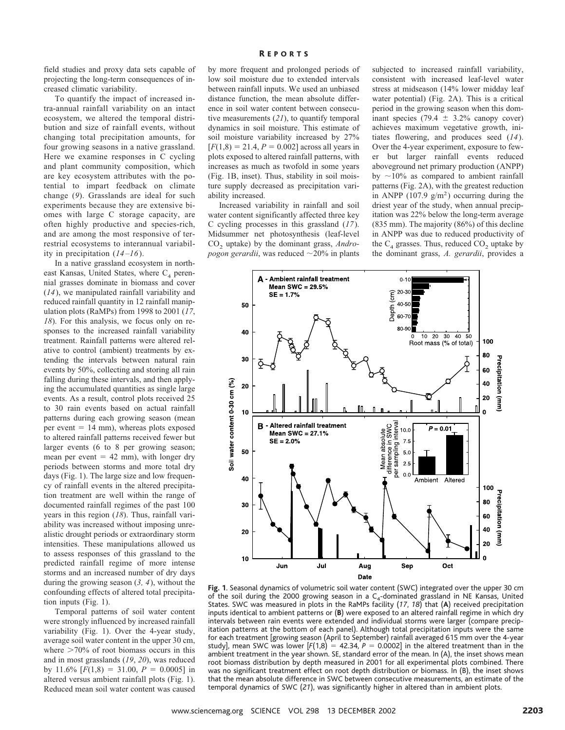### R EPORTS

field studies and proxy data sets capable of projecting the long-term consequences of increased climatic variability.

To quantify the impact of increased intra-annual rainfall variability on an intact ecosystem, we altered the temporal distribution and size of rainfall events, without changing total precipitation amounts, for four growing seasons in a native grassland. Here we examine responses in C cycling and plant community composition, which are key ecosystem attributes with the potential to impart feedback on climate change (*9*). Grasslands are ideal for such experiments because they are extensive biomes with large C storage capacity, are often highly productive and species-rich, and are among the most responsive of terrestrial ecosystems to interannual variability in precipitation  $(14-16)$ .

In a native grassland ecosystem in northeast Kansas, United States, where  $C_4$  perennial grasses dominate in biomass and cover (*14*), we manipulated rainfall variability and reduced rainfall quantity in 12 rainfall manipulation plots (RaMPs) from 1998 to 2001 (*17*, *18*). For this analysis, we focus only on responses to the increased rainfall variability treatment. Rainfall patterns were altered relative to control (ambient) treatments by extending the intervals between natural rain events by 50%, collecting and storing all rain falling during these intervals, and then applying the accumulated quantities as single large events. As a result, control plots received 25 to 30 rain events based on actual rainfall patterns during each growing season (mean per event  $= 14$  mm), whereas plots exposed to altered rainfall patterns received fewer but larger events (6 to 8 per growing season; mean per event  $= 42$  mm), with longer dry periods between storms and more total dry days (Fig. 1). The large size and low frequency of rainfall events in the altered precipitation treatment are well within the range of documented rainfall regimes of the past 100 years in this region (*18*). Thus, rainfall variability was increased without imposing unrealistic drought periods or extraordinary storm intensities. These manipulations allowed us to assess responses of this grassland to the predicted rainfall regime of more intense storms and an increased number of dry days during the growing season (*3, 4*), without the confounding effects of altered total precipitation inputs (Fig. 1).

Temporal patterns of soil water content were strongly influenced by increased rainfall variability (Fig. 1). Over the 4-year study, average soil water content in the upper 30 cm, where  $>70\%$  of root biomass occurs in this and in most grasslands (*19*, *20*), was reduced by 11.6%  $[F(1,8) = 31.00, P = 0.0005]$  in altered versus ambient rainfall plots (Fig. 1). Reduced mean soil water content was caused by more frequent and prolonged periods of low soil moisture due to extended intervals between rainfall inputs. We used an unbiased distance function, the mean absolute difference in soil water content between consecutive measurements (*21*), to quantify temporal dynamics in soil moisture. This estimate of soil moisture variability increased by 27%  $[F(1,8) = 21.4, P = 0.002]$  across all years in plots exposed to altered rainfall patterns, with increases as much as twofold in some years (Fig. 1B, inset). Thus, stability in soil moisture supply decreased as precipitation variability increased.

Increased variability in rainfall and soil water content significantly affected three key C cycling processes in this grassland (*17*). Midsummer net photosynthesis (leaf-level CO<sub>2</sub> uptake) by the dominant grass, *Andropogon gerardii*, was reduced  $\sim$  20% in plants

subjected to increased rainfall variability, consistent with increased leaf-level water stress at midseason (14% lower midday leaf water potential) (Fig. 2A). This is a critical period in the growing season when this dominant species (79.4  $\pm$  3.2% canopy cover) achieves maximum vegetative growth, initiates flowering, and produces seed (*14*). Over the 4-year experiment, exposure to fewer but larger rainfall events reduced aboveground net primary production (ANPP) by  $\sim$ 10% as compared to ambient rainfall patterns (Fig. 2A), with the greatest reduction in ANPP  $(107.9 \text{ g/m}^2)$  occurring during the driest year of the study, when annual precipitation was 22% below the long-term average (835 mm). The majority (86%) of this decline in ANPP was due to reduced productivity of the  $C_4$  grasses. Thus, reduced  $CO_2$  uptake by the dominant grass, *A. gerardii*, provides a



**Fig.1**. Seasonal dynamics of volumetric soil water content (SWC) integrated over the upper 30 cm of the soil during the 2000 growing season in a  $C_4$ -dominated grassland in NE Kansas, United States. SWC was measured in plots in the RaMPs facility (*17*, *18*) that (**A**) received precipitation inputs identical to ambient patterns or (**B**) were exposed to an altered rainfall regime in which dry intervals between rain events were extended and individual storms were larger (compare precipitation patterns at the bottom of each panel). Although total precipitation inputs were the same for each treatment [growing season (April to September) rainfall averaged 615 mm over the 4-year study], mean SWC was lower [F(1,8)  $\,=\,$  42.34,  $P\,=\,$  0.0002] in the altered treatment than in the ambient treatment in the year shown. SE, standard error of the mean. In (A), the inset shows mean root biomass distribution by depth measured in 2001 for all experimental plots combined. There was no significant treatment effect on root depth distribution or biomass. In (B), the inset shows that the mean absolute difference in SWC between consecutive measurements, an estimate of the temporal dynamics of SWC (*21*), was significantly higher in altered than in ambient plots.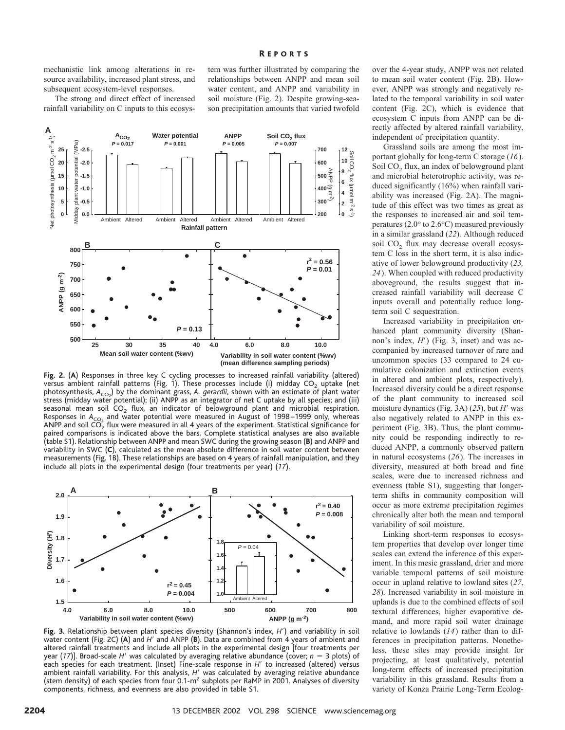mechanistic link among alterations in resource availability, increased plant stress, and subsequent ecosystem-level responses.

The strong and direct effect of increased rainfall variability on C inputs to this ecosystem was further illustrated by comparing the relationships between ANPP and mean soil water content, and ANPP and variability in soil moisture (Fig. 2). Despite growing-season precipitation amounts that varied twofold



**Fig.2.** (**A**) Responses in three key C cycling processes to increased rainfall variability (altered) versus ambient rainfall patterns (Fig. 1). These processes include (i) midday  $CO<sub>2</sub>$  uptake (net photosynthesis, *A<sub>CO2</sub>*) by the dominant grass, *A. gerardii*, shown with an estimate of plant water stress (midday water potential); (ii) ANPP as an integrator of net C uptake by all species; and (iii) seasonal mean soil  $CO<sub>2</sub>$  flux, an indicator of belowground plant and microbial respiration. Responses in A<sub>CO2</sub> and water potential were measured in August of 1998–1999 only, whereas ANPP and soil  $\tilde{CO}_2$  flux were measured in all 4 years of the experiment. Statistical significance for paired comparisons is indicated above the bars. Complete statistical analyses are also available (table S1). Relationship between ANPP and mean SWC during the growing season (**B**) and ANPP and variability in SWC (**C**), calculated as the mean absolute difference in soil water content between measurements (Fig. 1B). These relationships are based on 4 years of rainfall manipulation, and they include all plots in the experimental design (four treatments per year) (*17*).



**Fig.3.** Relationship between plant species diversity (Shannon's index, *H*) and variability in soil water content (Fig. 2C) (A) and *H'* and ANPP (B). Data are combined from 4 years of ambient and altered rainfall treatments and include all plots in the experimental design [four treatments per year (17)]. Broad-scale H' was calculated by averaging relative abundance (cover;  $n=3$  plots) of each species for each treatment. (Inset) Fine-scale response in *H'* to increased (altered) versus ambient rainfall variability. For this analysis, *H'* was calculated by averaging relative abundance (stem density) of each species from four  $0.1-m^2$  subplots per RaMP in 2001. Analyses of diversity components, richness, and evenness are also provided in table S1.

over the 4-year study, ANPP was not related to mean soil water content (Fig. 2B). However, ANPP was strongly and negatively related to the temporal variability in soil water content (Fig. 2C), which is evidence that ecosystem C inputs from ANPP can be directly affected by altered rainfall variability, independent of precipitation quantity.

Grassland soils are among the most important globally for long-term C storage (*16*). Soil  $CO<sub>2</sub>$  flux, an index of belowground plant and microbial heterotrophic activity, was reduced significantly (16%) when rainfall variability was increased (Fig. 2A). The magnitude of this effect was two times as great as the responses to increased air and soil temperatures  $(2.0<sup>o</sup>$  to  $2.6<sup>o</sup>C)$  measured previously in a similar grassland (*22*). Although reduced soil  $CO<sub>2</sub>$  flux may decrease overall ecosystem C loss in the short term, it is also indicative of lower belowground productivity (*23, 24*). When coupled with reduced productivity aboveground, the results suggest that increased rainfall variability will decrease C inputs overall and potentially reduce longterm soil C sequestration.

Increased variability in precipitation enhanced plant community diversity (Shannon's index, *H*) (Fig. 3, inset) and was accompanied by increased turnover of rare and uncommon species (33 compared to 24 cumulative colonization and extinction events in altered and ambient plots, respectively). Increased diversity could be a direct response of the plant community to increased soil moisture dynamics (Fig. 3A) (25), but *H'* was also negatively related to ANPP in this experiment (Fig. 3B). Thus, the plant community could be responding indirectly to reduced ANPP, a commonly observed pattern in natural ecosystems (*26*). The increases in diversity, measured at both broad and fine scales, were due to increased richness and evenness (table S1), suggesting that longerterm shifts in community composition will occur as more extreme precipitation regimes chronically alter both the mean and temporal variability of soil moisture.

Linking short-term responses to ecosystem properties that develop over longer time scales can extend the inference of this experiment. In this mesic grassland, drier and more variable temporal patterns of soil moisture occur in upland relative to lowland sites (*27*, *28*). Increased variability in soil moisture in uplands is due to the combined effects of soil textural differences, higher evaporative demand, and more rapid soil water drainage relative to lowlands (*14*) rather than to differences in precipitation patterns. Nonetheless, these sites may provide insight for projecting, at least qualitatively, potential long-term effects of increased precipitation variability in this grassland. Results from a variety of Konza Prairie Long-Term Ecolog